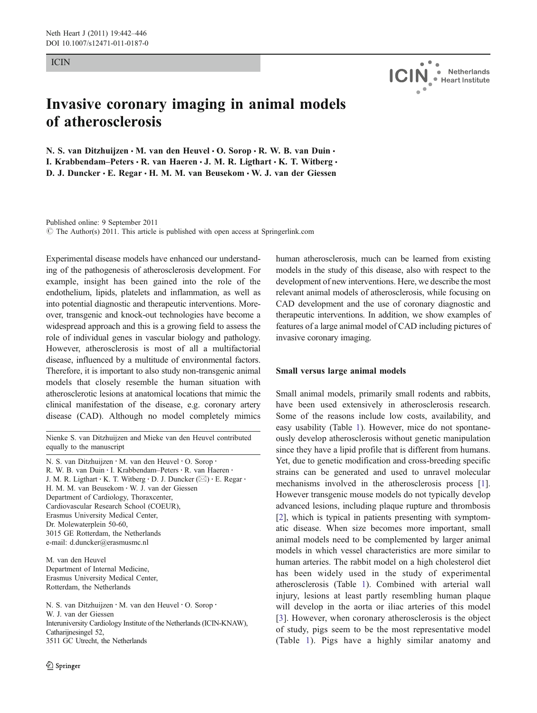ICIN

# Invasive coronary imaging in animal models of atherosclerosis

N. S. van Ditzhuijzen  $\cdot$  M. van den Heuvel  $\cdot$  O. Sorop  $\cdot$  R. W. B. van Duin  $\cdot$ I. Krabbendam–Peters · R. van Haeren · J. M. R. Ligthart · K. T. Witberg · D. J. Duncker · E. Regar · H. M. M. van Beusekom · W. J. van der Giessen

Published online: 9 September 2011  $\odot$  The Author(s) 2011. This article is published with open access at Springerlink.com

Experimental disease models have enhanced our understanding of the pathogenesis of atherosclerosis development. For example, insight has been gained into the role of the endothelium, lipids, platelets and inflammation, as well as into potential diagnostic and therapeutic interventions. Moreover, transgenic and knock-out technologies have become a widespread approach and this is a growing field to assess the role of individual genes in vascular biology and pathology. However, atherosclerosis is most of all a multifactorial disease, influenced by a multitude of environmental factors. Therefore, it is important to also study non-transgenic animal models that closely resemble the human situation with atherosclerotic lesions at anatomical locations that mimic the clinical manifestation of the disease, e.g. coronary artery disease (CAD). Although no model completely mimics

Nienke S. van Ditzhuijzen and Mieke van den Heuvel contributed equally to the manuscript

N. S. van Ditzhuijzen : M. van den Heuvel : O. Sorop : R. W. B. van Duin · I. Krabbendam-Peters · R. van Haeren · J. M. R. Ligthart  $\cdot$  K. T. Witberg  $\cdot$  D. J. Duncker ( $\boxtimes$ )  $\cdot$  E. Regar  $\cdot$ H. M. M. van Beusekom : W. J. van der Giessen Department of Cardiology, Thoraxcenter, Cardiovascular Research School (COEUR), Erasmus University Medical Center, Dr. Molewaterplein 50-60, 3015 GE Rotterdam, the Netherlands e-mail: d.duncker@erasmusmc.nl

M. van den Heuvel Department of Internal Medicine, Erasmus University Medical Center, Rotterdam, the Netherlands

N. S. van Ditzhuijzen : M. van den Heuvel : O. Sorop : W. J. van der Giessen Interuniversity Cardiology Institute of the Netherlands (ICIN-KNAW), Catharijnesingel 52, 3511 GC Utrecht, the Netherlands

human atherosclerosis, much can be learned from existing models in the study of this disease, also with respect to the development of new interventions. Here, we describe the most relevant animal models of atherosclerosis, while focusing on CAD development and the use of coronary diagnostic and therapeutic interventions. In addition, we show examples of features of a large animal model of CAD including pictures of invasive coronary imaging.

## Small versus large animal models

Small animal models, primarily small rodents and rabbits, have been used extensively in atherosclerosis research. Some of the reasons include low costs, availability, and easy usability (Table [1\)](#page-1-0). However, mice do not spontaneously develop atherosclerosis without genetic manipulation since they have a lipid profile that is different from humans. Yet, due to genetic modification and cross-breeding specific strains can be generated and used to unravel molecular mechanisms involved in the atherosclerosis process [[1\]](#page-4-0). However transgenic mouse models do not typically develop advanced lesions, including plaque rupture and thrombosis [\[2](#page-4-0)], which is typical in patients presenting with symptomatic disease. When size becomes more important, small animal models need to be complemented by larger animal models in which vessel characteristics are more similar to human arteries. The rabbit model on a high cholesterol diet has been widely used in the study of experimental atherosclerosis (Table [1](#page-1-0)). Combined with arterial wall injury, lesions at least partly resembling human plaque will develop in the aorta or iliac arteries of this model [\[3\]](#page-4-0). However, when coronary atherosclerosis is the object of study, pigs seem to be the most representative model (Table [1](#page-1-0)). Pigs have a highly similar anatomy and

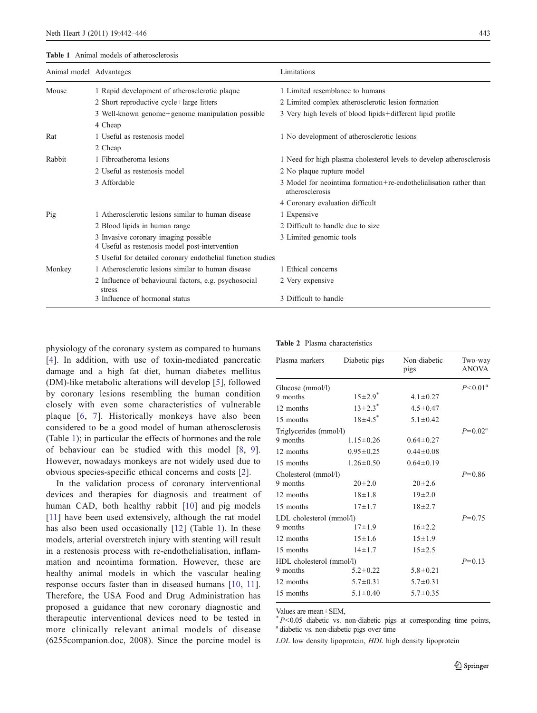#### <span id="page-1-0"></span>Table 1 Animal models of atherosclerosis

| Animal model Advantages |                                                                                        | Limitations                                                                          |
|-------------------------|----------------------------------------------------------------------------------------|--------------------------------------------------------------------------------------|
| Mouse                   | 1 Rapid development of atherosclerotic plaque                                          | 1 Limited resemblance to humans                                                      |
|                         | 2 Short reproductive cycle+large litters                                               | 2 Limited complex atherosclerotic lesion formation                                   |
|                         | 3 Well-known genome+genome manipulation possible                                       | 3 Very high levels of blood lipids+different lipid profile                           |
|                         | 4 Cheap                                                                                |                                                                                      |
| Rat                     | 1 Useful as restenosis model                                                           | 1 No development of atherosclerotic lesions                                          |
|                         | 2 Cheap                                                                                |                                                                                      |
| Rabbit                  | 1 Fibroatheroma lesions                                                                | 1 Need for high plasma cholesterol levels to develop atherosclerosis                 |
|                         | 2 Useful as restenosis model                                                           | 2 No plaque rupture model                                                            |
|                         | 3 Affordable                                                                           | 3 Model for neointima formation+re-endothelialisation rather than<br>atherosclerosis |
|                         |                                                                                        | 4 Coronary evaluation difficult                                                      |
| Pig                     | 1 Atherosclerotic lesions similar to human disease                                     | 1 Expensive                                                                          |
|                         | 2 Blood lipids in human range                                                          | 2 Difficult to handle due to size                                                    |
|                         | 3 Invasive coronary imaging possible<br>4 Useful as restenosis model post-intervention | 3 Limited genomic tools                                                              |
|                         | 5 Useful for detailed coronary endothelial function studies                            |                                                                                      |
| Monkey                  | 1 Atherosclerotic lesions similar to human disease                                     | 1 Ethical concerns                                                                   |
|                         | 2 Influence of behavioural factors, e.g. psychosocial<br>stress                        | 2 Very expensive                                                                     |
|                         | 3 Influence of hormonal status                                                         | 3 Difficult to handle                                                                |

physiology of the coronary system as compared to humans [\[4](#page-4-0)]. In addition, with use of toxin-mediated pancreatic damage and a high fat diet, human diabetes mellitus (DM)-like metabolic alterations will develop [\[5\]](#page-4-0), followed by coronary lesions resembling the human condition closely with even some characteristics of vulnerable plaque [[6,](#page-4-0) [7](#page-4-0)]. Historically monkeys have also been considered to be a good model of human atherosclerosis (Table 1); in particular the effects of hormones and the role of behaviour can be studied with this model [\[8](#page-4-0), [9](#page-4-0)]. However, nowadays monkeys are not widely used due to obvious species-specific ethical concerns and costs [[2\]](#page-4-0).

In the validation process of coronary interventional devices and therapies for diagnosis and treatment of human CAD, both healthy rabbit [[10\]](#page-4-0) and pig models [\[11](#page-4-0)] have been used extensively, although the rat model has also been used occasionally [\[12](#page-4-0)] (Table 1). In these models, arterial overstretch injury with stenting will result in a restenosis process with re-endothelialisation, inflammation and neointima formation. However, these are healthy animal models in which the vascular healing response occurs faster than in diseased humans [[10,](#page-4-0) [11](#page-4-0)]. Therefore, the USA Food and Drug Administration has proposed a guidance that new coronary diagnostic and therapeutic interventional devices need to be tested in more clinically relevant animal models of disease (6255companion.doc, 2008). Since the porcine model is

# Table 2 Plasma characteristics

| Plasma markers           | Diabetic pigs             | Non-diabetic<br>pigs | Two-way<br><b>ANOVA</b> |
|--------------------------|---------------------------|----------------------|-------------------------|
| Glucose (mmol/l)         | $P < 0.01^{\rm a}$        |                      |                         |
| 9 months                 | $15 \pm 2.9$ <sup>*</sup> | $4.1 \pm 0.27$       |                         |
| 12 months                | $13 \pm 2.3$ <sup>*</sup> | $4.5 \pm 0.47$       |                         |
| 15 months                | $18 \pm 4.5$ <sup>*</sup> | $5.1 \pm 0.42$       |                         |
| Triglycerides (mmol/l)   | $P=0.02^{\rm a}$          |                      |                         |
| 9 months                 | $1.15 \pm 0.26$           | $0.64 \pm 0.27$      |                         |
| 12 months                | $0.95 \pm 0.25$           | $0.44 \pm 0.08$      |                         |
| 15 months                | $1.26 \pm 0.50$           | $0.64 \pm 0.19$      |                         |
| Cholesterol (mmol/l)     | $P=0.86$                  |                      |                         |
| 9 months                 | $20 \pm 2.0$              | $20 \pm 2.6$         |                         |
| 12 months                | $18 \pm 1.8$              | $19\pm2.0$           |                         |
| 15 months                | $17 + 1.7$                | $18 + 2.7$           |                         |
| LDL cholesterol (mmol/l) | $P=0.75$                  |                      |                         |
| 9 months                 | $17 + 1.9$                | $16 \pm 2.2$         |                         |
| 12 months                | $15 \pm 1.6$              | $15 \pm 1.9$         |                         |
| 15 months                | $14 \pm 1.7$              | $15 \pm 2.5$         |                         |
| HDL cholesterol (mmol/l) | $P=0.13$                  |                      |                         |
| 9 months                 | $5.2 \pm 0.22$            | $5.8 \pm 0.21$       |                         |
| 12 months                | $5.7 \pm 0.31$            | $5.7 \pm 0.31$       |                         |
| 15 months                | $5.1 \pm 0.40$            | $5.7 \pm 0.35$       |                         |
|                          |                           |                      |                         |

Values are mean±SEM,

 $P<0.05$  diabetic vs. non-diabetic pigs at corresponding time points, <sup>a</sup> diabetic vs. non-diabetic pigs over time

LDL low density lipoprotein, HDL high density lipoprotein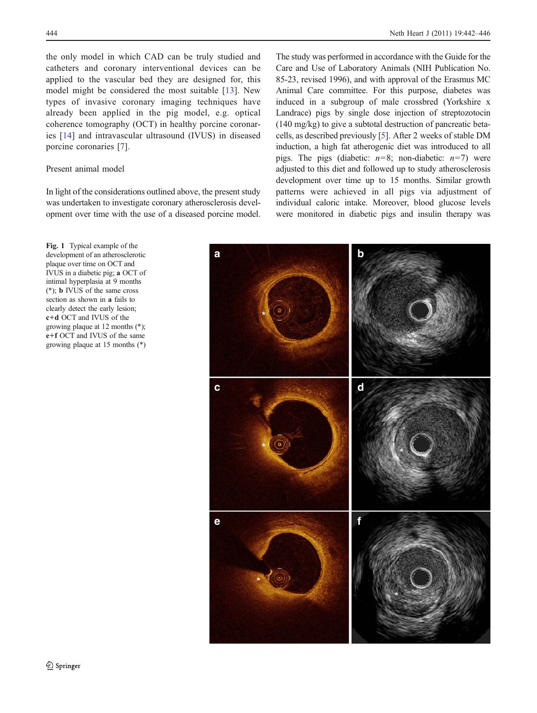<span id="page-2-0"></span>444 Neth Heart J (2011) 19:442–446

the only model in which CAD can be truly studied and catheters and coronary interventional devices can be applied to the vascular bed they are designed for, this model might be considered the most suitable [[13](#page-4-0)]. New types of invasive coronary imaging techniques have already been applied in the pig model, e.g. optical coherence tomography (OCT) in healthy porcine coronaries [[14\]](#page-4-0) and intravascular ultrasound (IVUS) in diseased porcine coronaries [\[7](#page-4-0)].

# Present animal model

In light of the considerations outlined above, the present study was undertaken to investigate coronary atherosclerosis development over time with the use of a diseased porcine model.

plaque over time on OCT and IVUS in a diabetic pig; a OCT of intimal hyperplasia at 9 months (\*); b IVUS of the same cross section as shown in a fails to clearly detect the early lesion; c+d OCT and IVUS of the growing plaque at 12 months (\*); e+f OCT and IVUS of the same growing plaque at 15 months (\*)

The study was performed in accordance with the Guide for the Care and Use of Laboratory Animals (NIH Publication No. 85-23, revised 1996), and with approval of the Erasmus MC Animal Care committee. For this purpose, diabetes was induced in a subgroup of male crossbred (Yorkshire x Landrace) pigs by single dose injection of streptozotocin (140 mg/kg) to give a subtotal destruction of pancreatic betacells, as described previously [[5\]](#page-4-0). After 2 weeks of stable DM induction, a high fat atherogenic diet was introduced to all pigs. The pigs (diabetic:  $n=8$ ; non-diabetic:  $n=7$ ) were adjusted to this diet and followed up to study atherosclerosis development over time up to 15 months. Similar growth patterns were achieved in all pigs via adjustment of individual caloric intake. Moreover, blood glucose levels were monitored in diabetic pigs and insulin therapy was

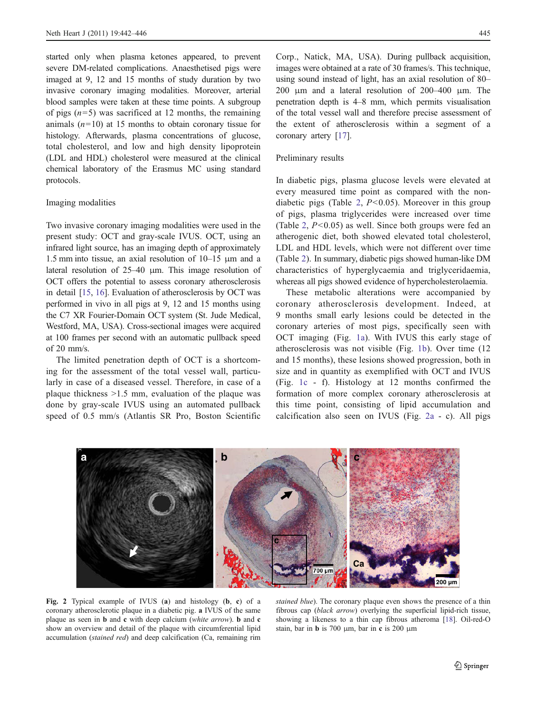started only when plasma ketones appeared, to prevent severe DM-related complications. Anaesthetised pigs were imaged at 9, 12 and 15 months of study duration by two invasive coronary imaging modalities. Moreover, arterial blood samples were taken at these time points. A subgroup of pigs  $(n=5)$  was sacrificed at 12 months, the remaining animals  $(n=10)$  at 15 months to obtain coronary tissue for histology. Afterwards, plasma concentrations of glucose, total cholesterol, and low and high density lipoprotein (LDL and HDL) cholesterol were measured at the clinical chemical laboratory of the Erasmus MC using standard protocols.

# Imaging modalities

Two invasive coronary imaging modalities were used in the present study: OCT and gray-scale IVUS. OCT, using an infrared light source, has an imaging depth of approximately 1.5 mm into tissue, an axial resolution of 10–15 μm and a lateral resolution of 25–40 μm. This image resolution of OCT offers the potential to assess coronary atherosclerosis in detail [\[15,](#page-4-0) [16\]](#page-4-0). Evaluation of atherosclerosis by OCT was performed in vivo in all pigs at 9, 12 and 15 months using the C7 XR Fourier-Domain OCT system (St. Jude Medical, Westford, MA, USA). Cross-sectional images were acquired at 100 frames per second with an automatic pullback speed of 20 mm/s.

The limited penetration depth of OCT is a shortcoming for the assessment of the total vessel wall, particularly in case of a diseased vessel. Therefore, in case of a plaque thickness >1.5 mm, evaluation of the plaque was done by gray-scale IVUS using an automated pullback speed of 0.5 mm/s (Atlantis SR Pro, Boston Scientific Corp., Natick, MA, USA). During pullback acquisition, images were obtained at a rate of 30 frames/s. This technique, using sound instead of light, has an axial resolution of 80– 200 μm and a lateral resolution of 200–400 μm. The penetration depth is 4–8 mm, which permits visualisation of the total vessel wall and therefore precise assessment of the extent of atherosclerosis within a segment of a coronary artery [[17\]](#page-4-0).

### Preliminary results

In diabetic pigs, plasma glucose levels were elevated at every measured time point as compared with the non-diabetic pigs (Table [2](#page-1-0),  $P < 0.05$ ). Moreover in this group of pigs, plasma triglycerides were increased over time (Table [2](#page-1-0),  $P<0.05$ ) as well. Since both groups were fed an atherogenic diet, both showed elevated total cholesterol, LDL and HDL levels, which were not different over time (Table [2\)](#page-1-0). In summary, diabetic pigs showed human-like DM characteristics of hyperglycaemia and triglyceridaemia, whereas all pigs showed evidence of hypercholesterolaemia.

These metabolic alterations were accompanied by coronary atherosclerosis development. Indeed, at 9 months small early lesions could be detected in the coronary arteries of most pigs, specifically seen with OCT imaging (Fig. [1a\)](#page-2-0). With IVUS this early stage of atherosclerosis was not visible (Fig. [1b\)](#page-2-0). Over time (12 and 15 months), these lesions showed progression, both in size and in quantity as exemplified with OCT and IVUS (Fig. [1c](#page-2-0) - f). Histology at 12 months confirmed the formation of more complex coronary atherosclerosis at this time point, consisting of lipid accumulation and calcification also seen on IVUS (Fig. 2a - c). All pigs



Fig. 2 Typical example of IVUS (a) and histology (b, c) of a coronary atherosclerotic plaque in a diabetic pig. a IVUS of the same plaque as seen in b and c with deep calcium (white arrow). b and c show an overview and detail of the plaque with circumferential lipid accumulation (stained red) and deep calcification (Ca, remaining rim

stained blue). The coronary plaque even shows the presence of a thin fibrous cap (black arrow) overlying the superficial lipid-rich tissue, showing a likeness to a thin cap fibrous atheroma [\[18](#page-4-0)]. Oil-red-O stain, bar in **b** is 700  $\mu$ m, bar in **c** is 200  $\mu$ m